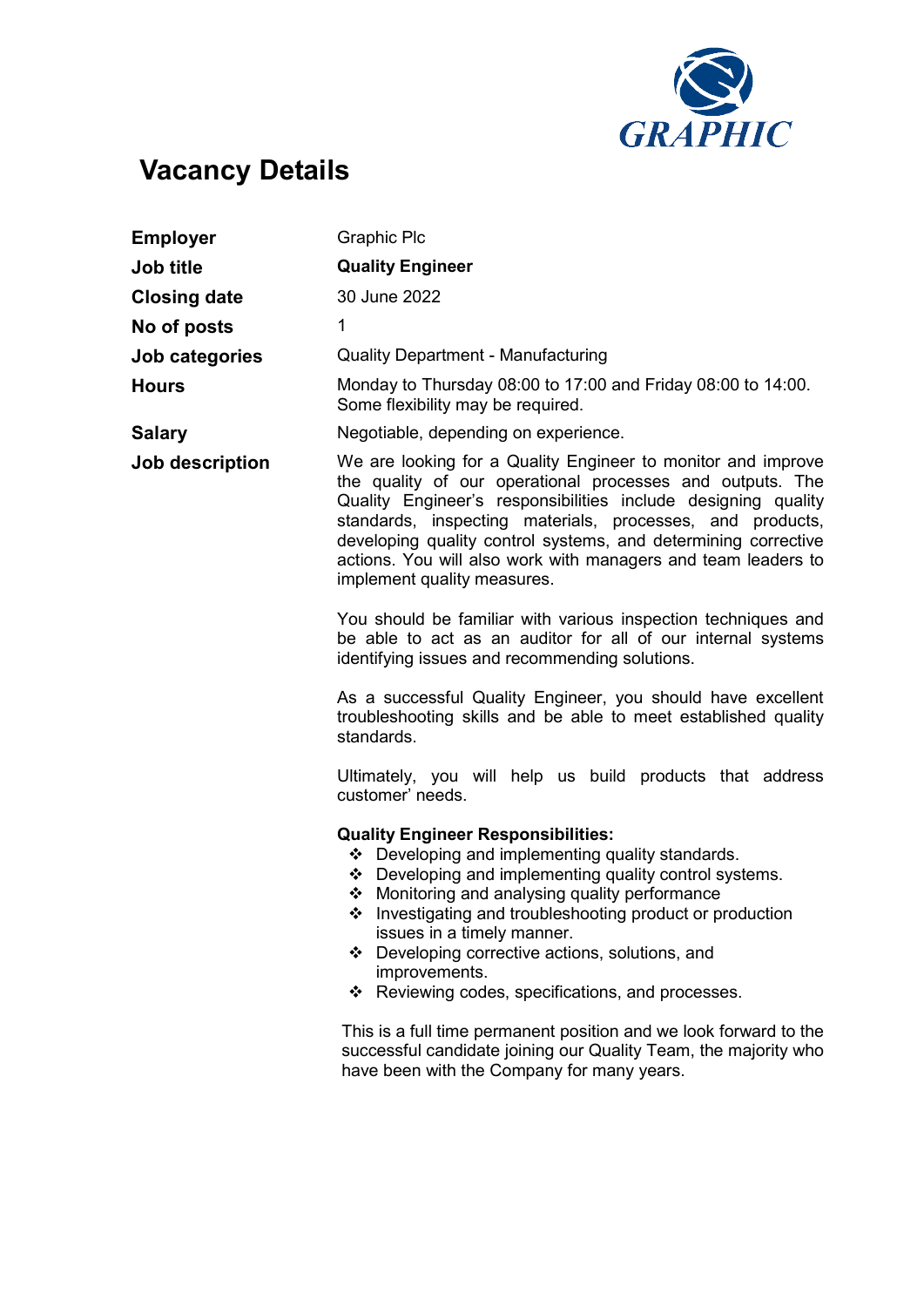

## Vacancy Details

| <b>Employer</b>     | <b>Graphic Plc</b>                                                                                                                                                                                                                                                                                                                                                                                                                  |
|---------------------|-------------------------------------------------------------------------------------------------------------------------------------------------------------------------------------------------------------------------------------------------------------------------------------------------------------------------------------------------------------------------------------------------------------------------------------|
| <b>Job title</b>    | <b>Quality Engineer</b>                                                                                                                                                                                                                                                                                                                                                                                                             |
| <b>Closing date</b> | 30 June 2022                                                                                                                                                                                                                                                                                                                                                                                                                        |
| No of posts         | $\mathbf 1$                                                                                                                                                                                                                                                                                                                                                                                                                         |
| Job categories      | <b>Quality Department - Manufacturing</b>                                                                                                                                                                                                                                                                                                                                                                                           |
| <b>Hours</b>        | Monday to Thursday 08:00 to 17:00 and Friday 08:00 to 14:00.<br>Some flexibility may be required.                                                                                                                                                                                                                                                                                                                                   |
| <b>Salary</b>       | Negotiable, depending on experience.                                                                                                                                                                                                                                                                                                                                                                                                |
| Job description     | We are looking for a Quality Engineer to monitor and improve<br>the quality of our operational processes and outputs. The<br>Quality Engineer's responsibilities include designing quality<br>standards, inspecting materials, processes, and products,<br>developing quality control systems, and determining corrective<br>actions. You will also work with managers and team leaders to<br>implement quality measures.           |
|                     | You should be familiar with various inspection techniques and<br>be able to act as an auditor for all of our internal systems<br>identifying issues and recommending solutions.                                                                                                                                                                                                                                                     |
|                     | As a successful Quality Engineer, you should have excellent<br>troubleshooting skills and be able to meet established quality<br>standards.                                                                                                                                                                                                                                                                                         |
|                     | Ultimately, you will help us build products that address<br>customer' needs.                                                                                                                                                                                                                                                                                                                                                        |
|                     | <b>Quality Engineer Responsibilities:</b><br>❖ Developing and implementing quality standards.<br>❖ Developing and implementing quality control systems.<br>❖ Monitoring and analysing quality performance<br>❖ Investigating and troubleshooting product or production<br>issues in a timely manner.<br>Developing corrective actions, solutions, and<br>❖<br>improvements.<br>Reviewing codes, specifications, and processes.<br>❖ |
|                     | This is a full time permanent position and we look forward to the<br>successful candidate joining our Quality Team, the majority who<br>have been with the Company for many years.                                                                                                                                                                                                                                                  |